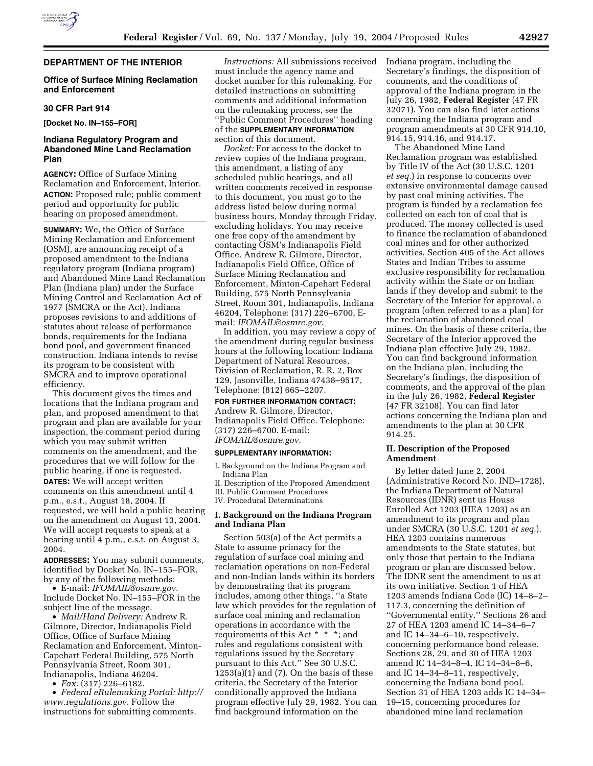

# **DEPARTMENT OF THE INTERIOR**

# **Office of Surface Mining Reclamation and Enforcement**

## **30 CFR Part 914**

**[Docket No. IN–155–FOR]** 

# **Indiana Regulatory Program and Abandoned Mine Land Reclamation Plan**

**AGENCY:** Office of Surface Mining Reclamation and Enforcement, Interior. **ACTION:** Proposed rule; public comment period and opportunity for public hearing on proposed amendment.

**SUMMARY:** We, the Office of Surface Mining Reclamation and Enforcement (OSM), are announcing receipt of a proposed amendment to the Indiana regulatory program (Indiana program) and Abandoned Mine Land Reclamation Plan (Indiana plan) under the Surface Mining Control and Reclamation Act of 1977 (SMCRA or the Act). Indiana proposes revisions to and additions of statutes about release of performance bonds, requirements for the Indiana bond pool, and government financed construction. Indiana intends to revise its program to be consistent with SMCRA and to improve operational efficiency.

This document gives the times and locations that the Indiana program and plan, and proposed amendment to that program and plan are available for your inspection, the comment period during which you may submit written comments on the amendment, and the procedures that we will follow for the public hearing, if one is requested. **DATES:** We will accept written comments on this amendment until 4 p.m., e.s.t., August 18, 2004. If requested, we will hold a public hearing on the amendment on August 13, 2004. We will accept requests to speak at a hearing until 4 p.m., e.s.t. on August 3,

**ADDRESSES:** You may submit comments, identified by Docket No. IN–155–FOR, by any of the following methods:

• E-mail: *IFOMAIL@osmre.gov*.

2004.

Include Docket No. IN–155–FOR in the subject line of the message.

• *Mail/Hand Delivery:* Andrew R. Gilmore, Director, Indianapolis Field Office, Office of Surface Mining Reclamation and Enforcement, Minton-Capehart Federal Building, 575 North Pennsylvania Street, Room 301, Indianapolis, Indiana 46204.

• *Fax:* (317) 226–6182.

• *Federal eRulemaking Portal: http:// www.regulations.gov*. Follow the instructions for submitting comments.

*Instructions:* All submissions received must include the agency name and docket number for this rulemaking. For detailed instructions on submitting comments and additional information on the rulemaking process, see the ''Public Comment Procedures'' heading of the **SUPPLEMENTARY INFORMATION** section of this document.

*Docket:* For access to the docket to review copies of the Indiana program, this amendment, a listing of any scheduled public hearings, and all written comments received in response to this document, you must go to the address listed below during normal business hours, Monday through Friday, excluding holidays. You may receive one free copy of the amendment by contacting OSM's Indianapolis Field Office. Andrew R. Gilmore, Director, Indianapolis Field Office, Office of Surface Mining Reclamation and Enforcement, Minton-Capehart Federal Building, 575 North Pennsylvania Street, Room 301, Indianapolis, Indiana 46204, Telephone: (317) 226–6700, Email: *IFOMAIL@osmre.gov*.

In addition, you may review a copy of the amendment during regular business hours at the following location: Indiana Department of Natural Resources, Division of Reclamation, R. R. 2, Box 129, Jasonville, Indiana 47438–9517, Telephone: (812) 665–2207.

## **FOR FURTHER INFORMATION CONTACT:**

Andrew R. Gilmore, Director, Indianapolis Field Office. Telephone: (317) 226–6700. E-mail: *IFOMAIL@osmre.gov*.

#### **SUPPLEMENTARY INFORMATION:**

I. Background on the Indiana Program and Indiana Plan

II. Description of the Proposed Amendment

III. Public Comment Procedures IV. Procedural Determinations

# **I. Background on the Indiana Program and Indiana Plan**

Section 503(a) of the Act permits a State to assume primacy for the regulation of surface coal mining and reclamation operations on non-Federal and non-Indian lands within its borders by demonstrating that its program includes, among other things, ''a State law which provides for the regulation of surface coal mining and reclamation operations in accordance with the requirements of this Act \* \* \*; and rules and regulations consistent with regulations issued by the Secretary pursuant to this Act.'' See 30 U.S.C.  $1253(a)(1)$  and  $(7)$ . On the basis of these criteria, the Secretary of the Interior conditionally approved the Indiana program effective July 29, 1982. You can find background information on the

Indiana program, including the Secretary's findings, the disposition of comments, and the conditions of approval of the Indiana program in the July 26, 1982, **Federal Register** (47 FR 32071). You can also find later actions concerning the Indiana program and program amendments at 30 CFR 914.10, 914.15, 914.16, and 914.17.

The Abandoned Mine Land Reclamation program was established by Title IV of the Act (30 U.S.C. 1201 *et seq.*) in response to concerns over extensive environmental damage caused by past coal mining activities. The program is funded by a reclamation fee collected on each ton of coal that is produced. The money collected is used to finance the reclamation of abandoned coal mines and for other authorized activities. Section 405 of the Act allows States and Indian Tribes to assume exclusive responsibility for reclamation activity within the State or on Indian lands if they develop and submit to the Secretary of the Interior for approval, a program (often referred to as a plan) for the reclamation of abandoned coal mines. On the basis of these criteria, the Secretary of the Interior approved the Indiana plan effective July 29, 1982. You can find background information on the Indiana plan, including the Secretary's findings, the disposition of comments, and the approval of the plan in the July 26, 1982, **Federal Register** (47 FR 32108). You can find later actions concerning the Indiana plan and amendments to the plan at 30 CFR 914.25.

## **II. Description of the Proposed Amendment**

By letter dated June 2, 2004 (Administrative Record No. IND–1728), the Indiana Department of Natural Resources (IDNR) sent us House Enrolled Act 1203 (HEA 1203) as an amendment to its program and plan under SMCRA (30 U.S.C. 1201 *et seq.*). HEA 1203 contains numerous amendments to the State statutes, but only those that pertain to the Indiana program or plan are discussed below. The IDNR sent the amendment to us at its own initiative. Section 1 of HEA 1203 amends Indiana Code (IC) 14–8–2– 117.3, concerning the definition of ''Governmental entity.'' Sections 26 and 27 of HEA 1203 amend IC 14–34–6–7 and IC 14–34–6–10, respectively, concerning performance bond release. Sections 28, 29, and 30 of HEA 1203 amend IC 14–34–8–4, IC 14–34–8–6, and IC 14–34–8–11, respectively, concerning the Indiana bond pool. Section 31 of HEA 1203 adds IC 14–34– 19–15, concerning procedures for abandoned mine land reclamation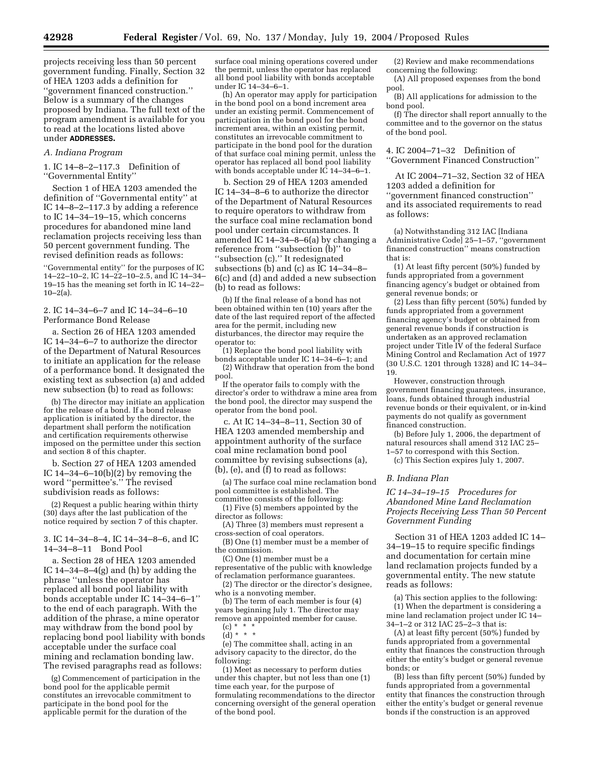projects receiving less than 50 percent government funding. Finally, Section 32 of HEA 1203 adds a definition for ''government financed construction.'' Below is a summary of the changes proposed by Indiana. The full text of the program amendment is available for you to read at the locations listed above under **ADDRESSES.**

### *A. Indiana Program*

1. IC 14–8–2–117.3 Definition of ''Governmental Entity''

Section 1 of HEA 1203 amended the definition of ''Governmental entity'' at IC 14–8–2–117.3 by adding a reference to IC 14–34–19–15, which concerns procedures for abandoned mine land reclamation projects receiving less than 50 percent government funding. The revised definition reads as follows:

''Governmental entity'' for the purposes of IC 14–22–10–2, IC 14–22–10–2.5, and IC 14–34– 19–15 has the meaning set forth in IC 14–22–  $10-2(a)$ .

## 2. IC 14–34–6–7 and IC 14–34–6–10 Performance Bond Release

a. Section 26 of HEA 1203 amended IC 14–34–6–7 to authorize the director of the Department of Natural Resources to initiate an application for the release of a performance bond. It designated the existing text as subsection (a) and added new subsection (b) to read as follows:

(b) The director may initiate an application for the release of a bond. If a bond release application is initiated by the director, the department shall perform the notification and certification requirements otherwise imposed on the permittee under this section and section 8 of this chapter.

b. Section 27 of HEA 1203 amended IC  $14-34-6-10(b)(2)$  by removing the word ''permittee's.'' The revised subdivision reads as follows:

(2) Request a public hearing within thirty (30) days after the last publication of the notice required by section 7 of this chapter.

3. IC 14–34–8–4, IC 14–34–8–6, and IC 14–34–8–11 Bond Pool

a. Section 28 of HEA 1203 amended IC 14–34–8–4(g) and (h) by adding the phrase ''unless the operator has replaced all bond pool liability with bonds acceptable under IC 14–34–6–1'' to the end of each paragraph. With the addition of the phrase, a mine operator may withdraw from the bond pool by replacing bond pool liability with bonds acceptable under the surface coal mining and reclamation bonding law. The revised paragraphs read as follows:

(g) Commencement of participation in the bond pool for the applicable permit constitutes an irrevocable commitment to participate in the bond pool for the applicable permit for the duration of the

surface coal mining operations covered under the permit, unless the operator has replaced all bond pool liability with bonds acceptable under IC 14–34–6–1.

(h) An operator may apply for participation in the bond pool on a bond increment area under an existing permit. Commencement of participation in the bond pool for the bond increment area, within an existing permit, constitutes an irrevocable commitment to participate in the bond pool for the duration of that surface coal mining permit, unless the operator has replaced all bond pool liability with bonds acceptable under IC 14–34–6–1.

b. Section 29 of HEA 1203 amended IC 14–34–8–6 to authorize the director of the Department of Natural Resources to require operators to withdraw from the surface coal mine reclamation bond pool under certain circumstances. It amended IC 14–34–8–6(a) by changing a reference from ''subsection (b)'' to ''subsection (c).'' It redesignated subsections (b) and (c) as IC 14–34–8– 6(c) and (d) and added a new subsection (b) to read as follows:

(b) If the final release of a bond has not been obtained within ten (10) years after the date of the last required report of the affected area for the permit, including new disturbances, the director may require the operator to:

(1) Replace the bond pool liability with bonds acceptable under IC 14–34–6–1; and (2) Withdraw that operation from the bond pool.

If the operator fails to comply with the director's order to withdraw a mine area from the bond pool, the director may suspend the operator from the bond pool.

c. At IC 14–34–8–11, Section 30 of HEA 1203 amended membership and appointment authority of the surface coal mine reclamation bond pool committee by revising subsections (a), (b), (e), and (f) to read as follows:

(a) The surface coal mine reclamation bond pool committee is established. The committee consists of the following:

(1) Five (5) members appointed by the director as follows:

(A) Three (3) members must represent a cross-section of coal operators.

(B) One (1) member must be a member of the commission.

(C) One (1) member must be a

representative of the public with knowledge of reclamation performance guarantees. (2) The director or the director's designee,

who is a nonvoting member. (b) The term of each member is four (4)

years beginning July 1. The director may remove an appointed member for cause.  $(c) * * * *$ 

 $(d) * * * *$ 

(e) The committee shall, acting in an advisory capacity to the director, do the following:

(1) Meet as necessary to perform duties under this chapter, but not less than one (1) time each year, for the purpose of formulating recommendations to the director concerning oversight of the general operation of the bond pool.

(2) Review and make recommendations concerning the following:

(A) All proposed expenses from the bond pool.

(B) All applications for admission to the bond pool.

(f) The director shall report annually to the committee and to the governor on the status of the bond pool.

4. IC 2004–71–32 Definition of ''Government Financed Construction''

At IC 2004–71–32, Section 32 of HEA 1203 added a definition for ''government financed construction'' and its associated requirements to read as follows:

(a) Notwithstanding 312 IAC [Indiana Administrative Code] 25–1–57, ''government financed construction'' means construction that is:

(1) At least fifty percent (50%) funded by funds appropriated from a government financing agency's budget or obtained from general revenue bonds; or

(2) Less than fifty percent (50%) funded by funds appropriated from a government financing agency's budget or obtained from general revenue bonds if construction is undertaken as an approved reclamation project under Title IV of the federal Surface Mining Control and Reclamation Act of 1977 (30 U.S.C. 1201 through 1328) and IC 14–34– 19.

However, construction through government financing guarantees, insurance, loans, funds obtained through industrial revenue bonds or their equivalent, or in-kind payments do not qualify as government financed construction.

(b) Before July 1, 2006, the department of natural resources shall amend 312 IAC 25– 1–57 to correspond with this Section.

(c) This Section expires July 1, 2007.

## *B. Indiana Plan*

*IC 14–34–19–15 Procedures for Abandoned Mine Land Reclamation Projects Receiving Less Than 50 Percent Government Funding*

Section 31 of HEA 1203 added IC 14– 34–19–15 to require specific findings and documentation for certain mine land reclamation projects funded by a governmental entity. The new statute reads as follows:

(a) This section applies to the following: (1) When the department is considering a mine land reclamation project under IC 14– 34–1–2 or 312 IAC 25–2–3 that is:

(A) at least fifty percent (50%) funded by funds appropriated from a governmental entity that finances the construction through either the entity's budget or general revenue bonds; or

(B) less than fifty percent (50%) funded by funds appropriated from a governmental entity that finances the construction through either the entity's budget or general revenue bonds if the construction is an approved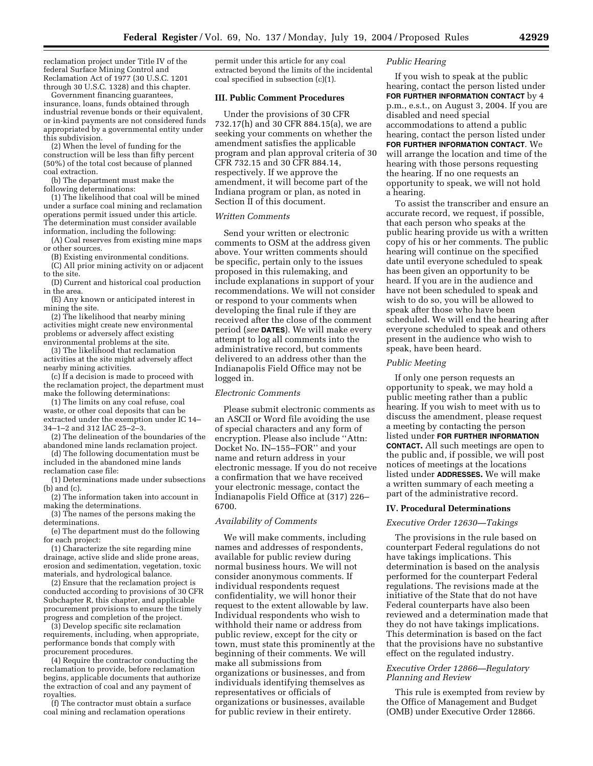reclamation project under Title IV of the federal Surface Mining Control and Reclamation Act of 1977 (30 U.S.C. 1201 through 30 U.S.C. 1328) and this chapter.

Government financing guarantees, insurance, loans, funds obtained through industrial revenue bonds or their equivalent, or in-kind payments are not considered funds appropriated by a governmental entity under this subdivision.

(2) When the level of funding for the construction will be less than fifty percent (50%) of the total cost because of planned coal extraction.

(b) The department must make the following determinations:

(1) The likelihood that coal will be mined under a surface coal mining and reclamation operations permit issued under this article. The determination must consider available information, including the following:

(A) Coal reserves from existing mine maps or other sources.

(B) Existing environmental conditions.

(C) All prior mining activity on or adjacent to the site.

(D) Current and historical coal production in the area.

(E) Any known or anticipated interest in mining the site.

(2) The likelihood that nearby mining activities might create new environmental problems or adversely affect existing environmental problems at the site.

(3) The likelihood that reclamation activities at the site might adversely affect nearby mining activities.

(c) If a decision is made to proceed with the reclamation project, the department must make the following determinations:

(1) The limits on any coal refuse, coal waste, or other coal deposits that can be extracted under the exemption under IC 14– 34–1–2 and 312 IAC 25–2–3.

(2) The delineation of the boundaries of the abandoned mine lands reclamation project.

(d) The following documentation must be included in the abandoned mine lands reclamation case file:

(1) Determinations made under subsections (b) and (c).

(2) The information taken into account in making the determinations.

(3) The names of the persons making the determinations.

(e) The department must do the following for each project:

(1) Characterize the site regarding mine drainage, active slide and slide prone areas, erosion and sedimentation, vegetation, toxic materials, and hydrological balance.

(2) Ensure that the reclamation project is conducted according to provisions of 30 CFR Subchapter R, this chapter, and applicable procurement provisions to ensure the timely progress and completion of the project.

(3) Develop specific site reclamation requirements, including, when appropriate, performance bonds that comply with procurement procedures.

(4) Require the contractor conducting the reclamation to provide, before reclamation begins, applicable documents that authorize the extraction of coal and any payment of royalties.

(f) The contractor must obtain a surface coal mining and reclamation operations

permit under this article for any coal extracted beyond the limits of the incidental coal specified in subsection (c)(1).

### **III. Public Comment Procedures**

Under the provisions of 30 CFR 732.17(h) and 30 CFR 884.15(a), we are seeking your comments on whether the amendment satisfies the applicable program and plan approval criteria of 30 CFR 732.15 and 30 CFR 884.14, respectively. If we approve the amendment, it will become part of the Indiana program or plan, as noted in Section II of this document.

## *Written Comments*

Send your written or electronic comments to OSM at the address given above. Your written comments should be specific, pertain only to the issues proposed in this rulemaking, and include explanations in support of your recommendations. We will not consider or respond to your comments when developing the final rule if they are received after the close of the comment period (*see* **DATES**). We will make every attempt to log all comments into the administrative record, but comments delivered to an address other than the Indianapolis Field Office may not be logged in.

# *Electronic Comments*

Please submit electronic comments as an ASCII or Word file avoiding the use of special characters and any form of encryption. Please also include ''Attn: Docket No. IN–155–FOR'' and your name and return address in your electronic message. If you do not receive a confirmation that we have received your electronic message, contact the Indianapolis Field Office at (317) 226– 6700.

### *Availability of Comments*

We will make comments, including names and addresses of respondents, available for public review during normal business hours. We will not consider anonymous comments. If individual respondents request confidentiality, we will honor their request to the extent allowable by law. Individual respondents who wish to withhold their name or address from public review, except for the city or town, must state this prominently at the beginning of their comments. We will make all submissions from organizations or businesses, and from individuals identifying themselves as representatives or officials of organizations or businesses, available for public review in their entirety.

## *Public Hearing*

If you wish to speak at the public hearing, contact the person listed under **FOR FURTHER INFORMATION CONTACT** by 4 p.m., e.s.t., on August 3, 2004. If you are disabled and need special accommodations to attend a public hearing, contact the person listed under **FOR FURTHER INFORMATION CONTACT**. We will arrange the location and time of the hearing with those persons requesting the hearing. If no one requests an opportunity to speak, we will not hold a hearing.

To assist the transcriber and ensure an accurate record, we request, if possible, that each person who speaks at the public hearing provide us with a written copy of his or her comments. The public hearing will continue on the specified date until everyone scheduled to speak has been given an opportunity to be heard. If you are in the audience and have not been scheduled to speak and wish to do so, you will be allowed to speak after those who have been scheduled. We will end the hearing after everyone scheduled to speak and others present in the audience who wish to speak, have been heard.

## *Public Meeting*

If only one person requests an opportunity to speak, we may hold a public meeting rather than a public hearing. If you wish to meet with us to discuss the amendment, please request a meeting by contacting the person listed under **FOR FURTHER INFORMATION CONTACT.** All such meetings are open to the public and, if possible, we will post notices of meetings at the locations listed under **ADDRESSES.** We will make a written summary of each meeting a part of the administrative record.

## **IV. Procedural Determinations**

## *Executive Order 12630—Takings*

The provisions in the rule based on counterpart Federal regulations do not have takings implications. This determination is based on the analysis performed for the counterpart Federal regulations. The revisions made at the initiative of the State that do not have Federal counterparts have also been reviewed and a determination made that they do not have takings implications. This determination is based on the fact that the provisions have no substantive effect on the regulated industry.

# *Executive Order 12866—Regulatory Planning and Review*

This rule is exempted from review by the Office of Management and Budget (OMB) under Executive Order 12866.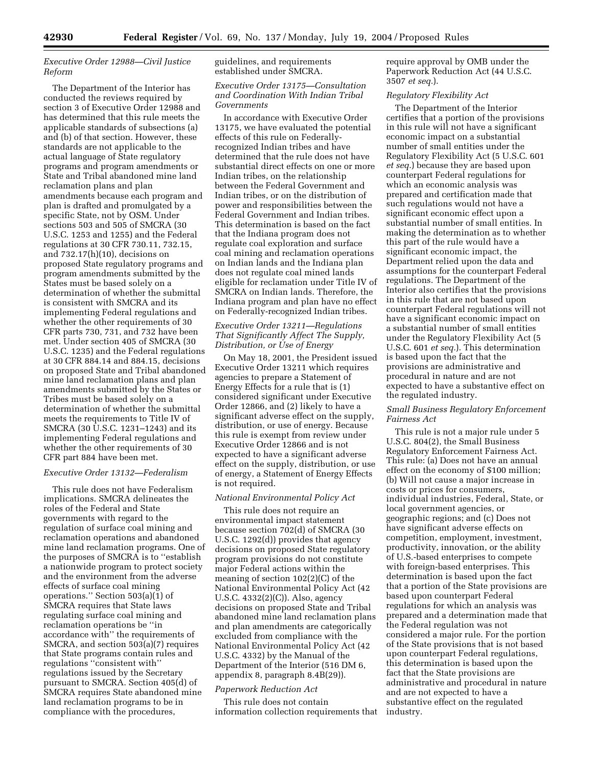# *Executive Order 12988—Civil Justice Reform*

The Department of the Interior has conducted the reviews required by section 3 of Executive Order 12988 and has determined that this rule meets the applicable standards of subsections (a) and (b) of that section. However, these standards are not applicable to the actual language of State regulatory programs and program amendments or State and Tribal abandoned mine land reclamation plans and plan amendments because each program and plan is drafted and promulgated by a specific State, not by OSM. Under sections 503 and 505 of SMCRA (30 U.S.C. 1253 and 1255) and the Federal regulations at 30 CFR 730.11, 732.15, and 732.17(h)(10), decisions on proposed State regulatory programs and program amendments submitted by the States must be based solely on a determination of whether the submittal is consistent with SMCRA and its implementing Federal regulations and whether the other requirements of 30 CFR parts 730, 731, and 732 have been met. Under section 405 of SMCRA (30 U.S.C. 1235) and the Federal regulations at 30 CFR 884.14 and 884.15, decisions on proposed State and Tribal abandoned mine land reclamation plans and plan amendments submitted by the States or Tribes must be based solely on a determination of whether the submittal meets the requirements to Title IV of SMCRA (30 U.S.C. 1231–1243) and its implementing Federal regulations and whether the other requirements of 30 CFR part 884 have been met.

# *Executive Order 13132—Federalism*

This rule does not have Federalism implications. SMCRA delineates the roles of the Federal and State governments with regard to the regulation of surface coal mining and reclamation operations and abandoned mine land reclamation programs. One of the purposes of SMCRA is to ''establish a nationwide program to protect society and the environment from the adverse effects of surface coal mining operations.'' Section 503(a)(1) of SMCRA requires that State laws regulating surface coal mining and reclamation operations be ''in accordance with'' the requirements of SMCRA, and section 503(a)(7) requires that State programs contain rules and regulations ''consistent with'' regulations issued by the Secretary pursuant to SMCRA. Section 405(d) of SMCRA requires State abandoned mine land reclamation programs to be in compliance with the procedures,

guidelines, and requirements established under SMCRA.

# *Executive Order 13175—Consultation and Coordination With Indian Tribal Governments*

In accordance with Executive Order 13175, we have evaluated the potential effects of this rule on Federallyrecognized Indian tribes and have determined that the rule does not have substantial direct effects on one or more Indian tribes, on the relationship between the Federal Government and Indian tribes, or on the distribution of power and responsibilities between the Federal Government and Indian tribes. This determination is based on the fact that the Indiana program does not regulate coal exploration and surface coal mining and reclamation operations on Indian lands and the Indiana plan does not regulate coal mined lands eligible for reclamation under Title IV of SMCRA on Indian lands. Therefore, the Indiana program and plan have no effect on Federally-recognized Indian tribes.

# *Executive Order 13211—Regulations That Significantly Affect The Supply, Distribution, or Use of Energy*

On May 18, 2001, the President issued Executive Order 13211 which requires agencies to prepare a Statement of Energy Effects for a rule that is (1) considered significant under Executive Order 12866, and (2) likely to have a significant adverse effect on the supply, distribution, or use of energy. Because this rule is exempt from review under Executive Order 12866 and is not expected to have a significant adverse effect on the supply, distribution, or use of energy, a Statement of Energy Effects is not required.

## *National Environmental Policy Act*

This rule does not require an environmental impact statement because section 702(d) of SMCRA (30 U.S.C. 1292(d)) provides that agency decisions on proposed State regulatory program provisions do not constitute major Federal actions within the meaning of section 102(2)(C) of the National Environmental Policy Act (42 U.S.C. 4332(2)(C)). Also, agency decisions on proposed State and Tribal abandoned mine land reclamation plans and plan amendments are categorically excluded from compliance with the National Environmental Policy Act (42 U.S.C. 4332) by the Manual of the Department of the Interior (516 DM 6, appendix 8, paragraph 8.4B(29)).

## *Paperwork Reduction Act*

This rule does not contain information collection requirements that require approval by OMB under the Paperwork Reduction Act (44 U.S.C. 3507 *et seq.*).

# *Regulatory Flexibility Act*

The Department of the Interior certifies that a portion of the provisions in this rule will not have a significant economic impact on a substantial number of small entities under the Regulatory Flexibility Act (5 U.S.C. 601 *et seq.*) because they are based upon counterpart Federal regulations for which an economic analysis was prepared and certification made that such regulations would not have a significant economic effect upon a substantial number of small entities. In making the determination as to whether this part of the rule would have a significant economic impact, the Department relied upon the data and assumptions for the counterpart Federal regulations. The Department of the Interior also certifies that the provisions in this rule that are not based upon counterpart Federal regulations will not have a significant economic impact on a substantial number of small entities under the Regulatory Flexibility Act (5 U.S.C. 601 *et seq.*). This determination is based upon the fact that the provisions are administrative and procedural in nature and are not expected to have a substantive effect on the regulated industry.

## *Small Business Regulatory Enforcement Fairness Act*

This rule is not a major rule under 5 U.S.C. 804(2), the Small Business Regulatory Enforcement Fairness Act. This rule: (a) Does not have an annual effect on the economy of \$100 million; (b) Will not cause a major increase in costs or prices for consumers, individual industries, Federal, State, or local government agencies, or geographic regions; and (c) Does not have significant adverse effects on competition, employment, investment, productivity, innovation, or the ability of U.S.-based enterprises to compete with foreign-based enterprises. This determination is based upon the fact that a portion of the State provisions are based upon counterpart Federal regulations for which an analysis was prepared and a determination made that the Federal regulation was not considered a major rule. For the portion of the State provisions that is not based upon counterpart Federal regulations, this determination is based upon the fact that the State provisions are administrative and procedural in nature and are not expected to have a substantive effect on the regulated industry.